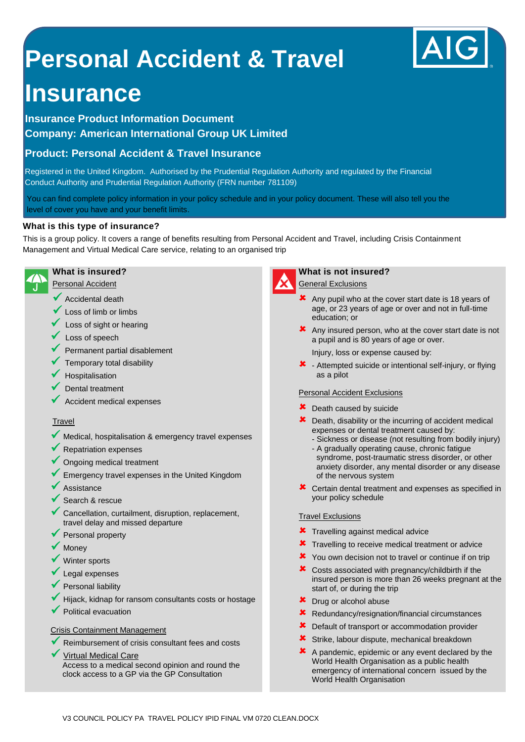# **Personal Accident & Travel**

## **Insurance**

**Insurance Product Information Document Company: American International Group UK Limited**

### **Product: Personal Accident & Travel Insurance**

Registered in the United Kingdom. Authorised by the Prudential Regulation Authority and regulated by the Financial Conduct Authority and Prudential Regulation Authority (FRN number 781109)

You can find complete policy information in your policy schedule and in your policy document. These will also tell you the level of cover you have and your benefit limits.

#### **What is this type of insurance?**

This is a group policy. It covers a range of benefits resulting from Personal Accident and Travel, including Crisis Containment Management and Virtual Medical Care service, relating to an organised trip



Personal Accident

- $\sqrt{\phantom{a}}$  Accidental death
- Loss of limb or limbs
- Loss of sight or hearing
- $\checkmark$  Loss of speech
- Permanent partial disablement
- Temporary total disability
- Hospitalisation
- Dental treatment
- Accident medical expenses

#### **Travel**

- Medical, hospitalisation & emergency travel expenses
- Repatriation expenses
- Ongoing medical treatment
- Emergency travel expenses in the United Kingdom
- Assistance
- Search & rescue
- Cancellation, curtailment, disruption, replacement, travel delay and missed departure
- Personal property
- **Money**
- Winter sports
- Legal expenses
- Personal liability
- Hijack, kidnap for ransom consultants costs or hostage
- Political evacuation

#### Crisis Containment Management

- Reimbursement of crisis consultant fees and costs
- Virtual Medical Care Access to a medical second opinion and round the clock access to a GP via the GP Consultation



#### **What is not insured?**

**General Exclusions** 

- $\star$  Any pupil who at the cover start date is 18 years of age, or 23 years of age or over and not in full-time education; or
- $\boldsymbol{\times}$  Any insured person, who at the cover start date is not a pupil and is 80 years of age or over.

Injury, loss or expense caused by:

 $\star$  - Attempted suicide or intentional self-injury, or flying as a pilot

#### Personal Accident Exclusions

- **X** Death caused by suicide
- **X** Death, disability or the incurring of accident medical expenses or dental treatment caused by:
	- Sickness or disease (not resulting from bodily injury)
	- A gradually operating cause, chronic fatigue syndrome, post-traumatic stress disorder, or other anxiety disorder, any mental disorder or any disease of the nervous system
- Certain dental treatment and expenses as specified in your policy schedule

#### Travel Exclusions

- **\*** Travelling against medical advice
- **\*** Travelling to receive medical treatment or advice
- X You own decision not to travel or continue if on trip
- Costs associated with pregnancy/childbirth if the insured person is more than 26 weeks pregnant at the start of, or during the trip
- **\*** Drug or alcohol abuse
- Redundancy/resignation/financial circumstances
- **X** Default of transport or accommodation provider
- Strike, labour dispute, mechanical breakdown
- A pandemic, epidemic or any event declared by the World Health Organisation as a public health emergency of international concern issued by the World Health Organisation